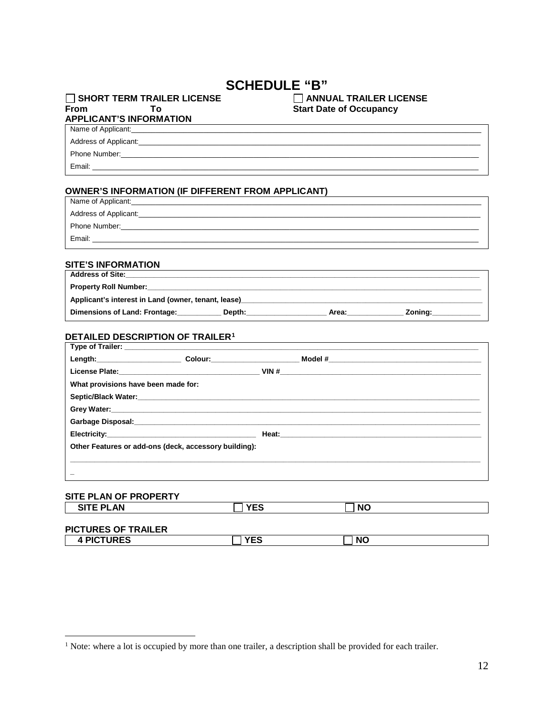## **SCHEDULE "B"**

#### SHORT TERM TRAILER LICENSE From To **APPLICANT'S INFORMATION**

#### ANNUAL TRAILER LICENSE **Start Date of Occupancy**

# Name of Applicant:

Address of Applicant:

Phone Number:

Email:

### **OWNER'S INFORMATION (IF DIFFERENT FROM APPLICANT)**

| Name of Applicant:    |
|-----------------------|
| Address of Applicant: |
| Phone Number:         |
| Email:                |
|                       |

### **SITE'S INFORMATION**

| <b>Address of Site:</b>                             |        |       |         |
|-----------------------------------------------------|--------|-------|---------|
| <b>Property Roll Number:</b>                        |        |       |         |
| Applicant's interest in Land (owner, tenant, lease) |        |       |         |
| Dimensions of Land: Frontage:                       | Depth: | Area: | Zonina: |

#### DETAILED DESCRIPTION OF TRAILER<sup>1</sup>

|                                                       |     | License Plate: New York 2012 19:00:00 NM # 2012 19:00:00 NM # 2012 19:00:00 NM # 2012 19:00:00 NM # 2012 19:00 |
|-------------------------------------------------------|-----|----------------------------------------------------------------------------------------------------------------|
| What provisions have been made for:                   |     |                                                                                                                |
|                                                       |     |                                                                                                                |
|                                                       |     |                                                                                                                |
|                                                       |     |                                                                                                                |
|                                                       |     |                                                                                                                |
| Other Features or add-ons (deck, accessory building): |     |                                                                                                                |
|                                                       |     |                                                                                                                |
|                                                       |     |                                                                                                                |
| SITE PLAN OF PROPERTY                                 |     |                                                                                                                |
| AITE DI ANI                                           | VFA | $\mathbf{H}$                                                                                                   |

| <b>SITE PLAN</b>           | <b>YES</b> | <b>NO</b> |  |
|----------------------------|------------|-----------|--|
| <b>PICTURES OF TRAILER</b> |            |           |  |
| <b>4 PICTURES</b>          | <b>YES</b> | <b>NO</b> |  |

<span id="page-0-0"></span> $<sup>1</sup>$  Note: where a lot is occupied by more than one trailer, a description shall be provided for each trailer.</sup>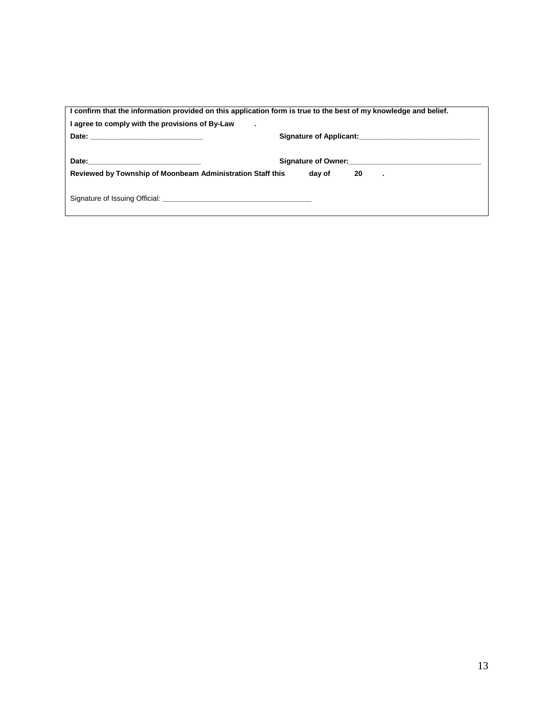| I confirm that the information provided on this application form is true to the best of my knowledge and belief.                                                                                                              |                                                                                                                                                                                                                                       |  |  |  |
|-------------------------------------------------------------------------------------------------------------------------------------------------------------------------------------------------------------------------------|---------------------------------------------------------------------------------------------------------------------------------------------------------------------------------------------------------------------------------------|--|--|--|
| I agree to comply with the provisions of By-Law<br>$\blacksquare$                                                                                                                                                             |                                                                                                                                                                                                                                       |  |  |  |
|                                                                                                                                                                                                                               |                                                                                                                                                                                                                                       |  |  |  |
|                                                                                                                                                                                                                               | Signature of Owner:<br><u> Communication</u> Communication Communication Communication Communication Communication Communication Communication Communication Communication Communication Communication Communication Communication Co |  |  |  |
| Reviewed by Township of Moonbeam Administration Staff this                                                                                                                                                                    | day of<br>20<br>$\blacksquare$                                                                                                                                                                                                        |  |  |  |
| Signature of Issuing Official: Letter and the contract of the contract of the contract of the contract of the contract of the contract of the contract of the contract of the contract of the contract of the contract of the |                                                                                                                                                                                                                                       |  |  |  |